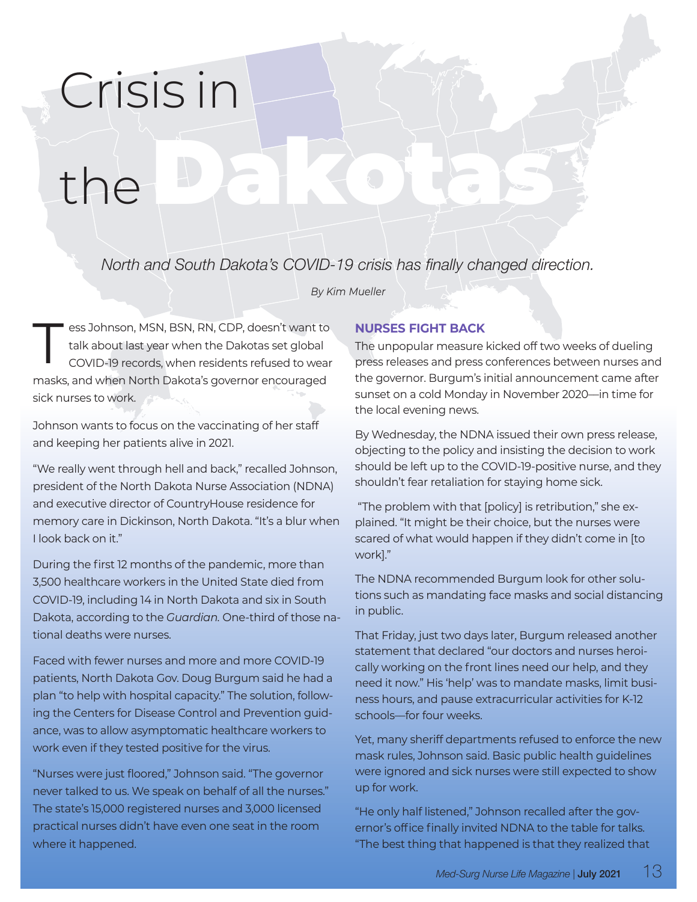## Crisis in

# the Dakotas

*North and South Dakota's COVID-19 crisis has finally changed direction.*

*By Kim Mueller*

T ess Johnson, MSN, BSN, RN, CDP, doesn't want to<br>talk about last year when the Dakotas set global<br>COVID-19 records, when residents refused to wear talk about last year when the Dakotas set global masks, and when North Dakota's governor encouraged sick nurses to work.

Johnson wants to focus on the vaccinating of her staff and keeping her patients alive in 2021.

"We really went through hell and back," recalled Johnson, president of the North Dakota Nurse Association (NDNA) and executive director of CountryHouse residence for memory care in Dickinson, North Dakota. "It's a blur when I look back on it."

During the first 12 months of the pandemic, more than 3,500 healthcare workers in the United State died from COVID-19, including 14 in North Dakota and six in South Dakota, according to the *Guardian.* One-third of those national deaths were nurses.

Faced with fewer nurses and more and more COVID-19 patients, North Dakota Gov. Doug Burgum said he had a plan "to help with hospital capacity." The solution, following the Centers for Disease Control and Prevention guidance, was to allow asymptomatic healthcare workers to work even if they tested positive for the virus.

"Nurses were just floored," Johnson said. "The governor never talked to us. We speak on behalf of all the nurses." The state's 15,000 registered nurses and 3,000 licensed practical nurses didn't have even one seat in the room where it happened.

### **NURSES FIGHT BACK**

The unpopular measure kicked off two weeks of dueling press releases and press conferences between nurses and the governor. Burgum's initial announcement came after sunset on a cold Monday in November 2020––in time for the local evening news.

By Wednesday, the NDNA issued their own press release, objecting to the policy and insisting the decision to work should be left up to the COVID-19-positive nurse, and they shouldn't fear retaliation for staying home sick.

 "The problem with that [policy] is retribution," she explained. "It might be their choice, but the nurses were scared of what would happen if they didn't come in [to work]."

The NDNA recommended Burgum look for other solutions such as mandating face masks and social distancing in public.

That Friday, just two days later, Burgum released another statement that declared "our doctors and nurses heroically working on the front lines need our help, and they need it now." His 'help' was to mandate masks, limit business hours, and pause extracurricular activities for K-12 schools––for four weeks.

Yet, many sheriff departments refused to enforce the new mask rules, Johnson said. Basic public health guidelines were ignored and sick nurses were still expected to show up for work.

"He only half listened," Johnson recalled after the governor's office finally invited NDNA to the table for talks. "The best thing that happened is that they realized that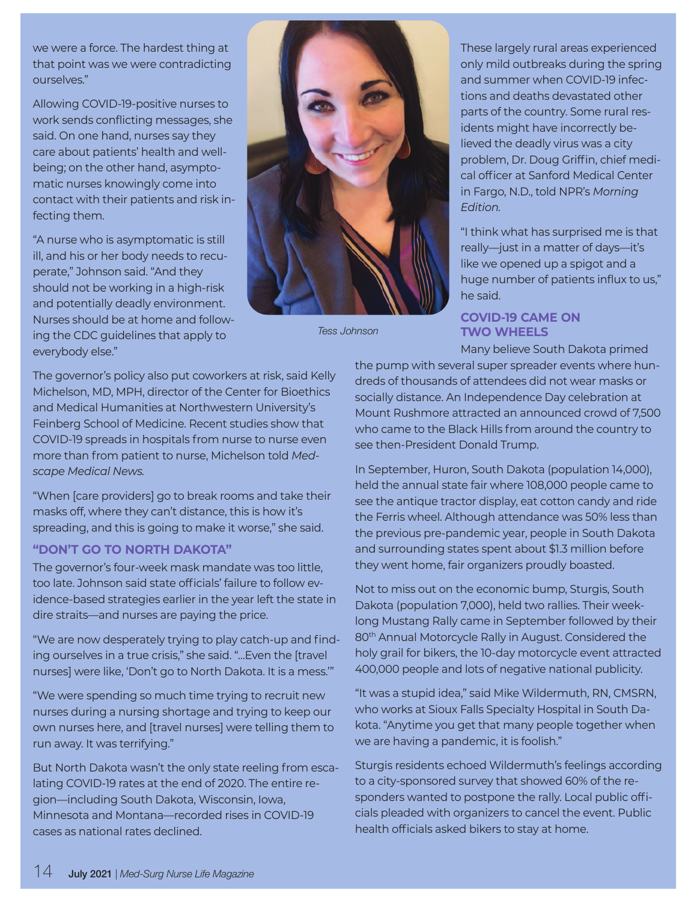we were a force. The hardest thing at that point was we were contradicting ourselves."

Allowing COVID-19-positive nurses to work sends conflicting messages, she said. On one hand, nurses say they care about patients' health and wellbeing; on the other hand, asymptomatic nurses knowingly come into contact with their patients and risk infecting them.

"A nurse who is asymptomatic is still ill, and his or her body needs to recuperate," Johnson said. "And they should not be working in a high-risk and potentially deadly environment. Nurses should be at home and following the CDC guidelines that apply to everybody else."



*Tess Johnson*

These largely rural areas experienced only mild outbreaks during the spring and summer when COVID-19 infections and deaths devastated other parts of the country. Some rural residents might have incorrectly believed the deadly virus was a city problem, Dr. Doug Griffin, chief medical officer at Sanford Medical Center in Fargo, N.D., told NPR's *Morning Edition.*

"I think what has surprised me is that really—just in a matter of days—it's like we opened up a spigot and a huge number of patients influx to us," he said.

#### **COVID-19 CAME ON TWO WHEELS**

Many believe South Dakota primed the pump with several super spreader events where hundreds of thousands of attendees did not wear masks or socially distance. An Independence Day celebration at Mount Rushmore attracted an announced crowd of 7,500 who came to the Black Hills from around the country to see then-President Donald Trump.

In September, Huron, South Dakota (population 14,000), held the annual state fair where 108,000 people came to see the antique tractor display, eat cotton candy and ride the Ferris wheel. Although attendance was 50% less than the previous pre-pandemic year, people in South Dakota and surrounding states spent about \$1.3 million before they went home, fair organizers proudly boasted.

Not to miss out on the economic bump, Sturgis, South Dakota (population 7,000), held two rallies. Their weeklong Mustang Rally came in September followed by their 80th Annual Motorcycle Rally in August. Considered the holy grail for bikers, the 10-day motorcycle event attracted 400,000 people and lots of negative national publicity.

"It was a stupid idea," said Mike Wildermuth, RN, CMSRN, who works at Sioux Falls Specialty Hospital in South Dakota. "Anytime you get that many people together when we are having a pandemic, it is foolish."

Sturgis residents echoed Wildermuth's feelings according to a city-sponsored survey that showed 60% of the responders wanted to postpone the rally. Local public officials pleaded with organizers to cancel the event. Public health officials asked bikers to stay at home.

The governor's policy also put coworkers at risk, said Kelly Michelson, MD, MPH, director of the Center for Bioethics and Medical Humanities at Northwestern University's Feinberg School of Medicine. Recent studies show that COVID-19 spreads in hospitals from nurse to nurse even more than from patient to nurse, Michelson told *Medscape Medical News.*

"When [care providers] go to break rooms and take their masks off, where they can't distance, this is how it's spreading, and this is going to make it worse," she said.

#### **"DON'T GO TO NORTH DAKOTA"**

The governor's four-week mask mandate was too little, too late. Johnson said state officials' failure to follow evidence-based strategies earlier in the year left the state in dire straits––and nurses are paying the price.

"We are now desperately trying to play catch-up and finding ourselves in a true crisis," she said. "…Even the [travel nurses] were like, 'Don't go to North Dakota. It is a mess.'"

"We were spending so much time trying to recruit new nurses during a nursing shortage and trying to keep our own nurses here, and [travel nurses] were telling them to run away. It was terrifying."

But North Dakota wasn't the only state reeling from escalating COVID-19 rates at the end of 2020. The entire region––including South Dakota, Wisconsin, Iowa, Minnesota and Montana––recorded rises in COVID-19 cases as national rates declined.